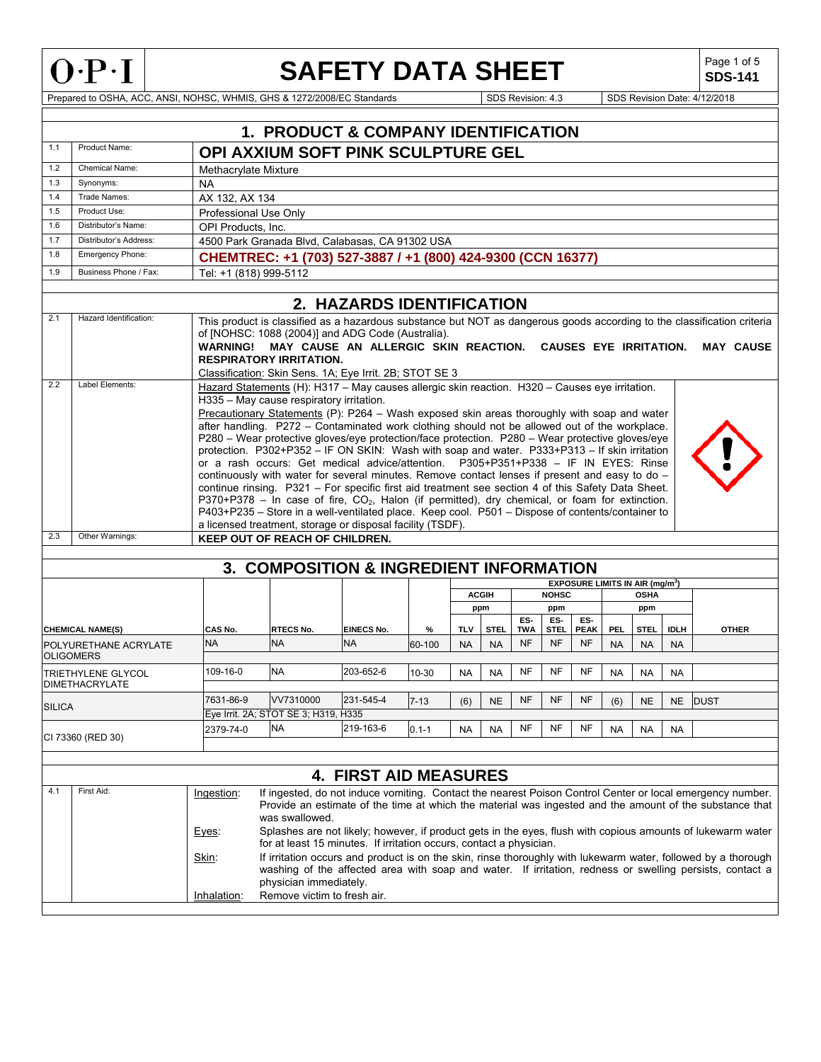

## **SAFETY DATA SHEET**

**SDS-141**

Prepared to OSHA, ACC, ANSI, NOHSC, WHMIS, GHS & 1272/2008/EC Standards Superintendent Superintendent Superintendent Superintendent Superintendent Superintendent Superintendent Superintendent Superintendent Superintendent

|        |                                                                                                                                                                                                                                                                                                                                                                                            |                                                                                                                                                                                                                                                                                                                                                                                                                                                                                                                                                                                                                                                                                                                                                                                                                                                                                                                                                                                                                                                                                                                     | <b>1. PRODUCT &amp; COMPANY IDENTIFICATION</b>                                                                                                                                                                                                                                                                                                                        |                                |             |                         |                          |                         |                          |                          |                         |                                                            |                          |              |
|--------|--------------------------------------------------------------------------------------------------------------------------------------------------------------------------------------------------------------------------------------------------------------------------------------------------------------------------------------------------------------------------------------------|---------------------------------------------------------------------------------------------------------------------------------------------------------------------------------------------------------------------------------------------------------------------------------------------------------------------------------------------------------------------------------------------------------------------------------------------------------------------------------------------------------------------------------------------------------------------------------------------------------------------------------------------------------------------------------------------------------------------------------------------------------------------------------------------------------------------------------------------------------------------------------------------------------------------------------------------------------------------------------------------------------------------------------------------------------------------------------------------------------------------|-----------------------------------------------------------------------------------------------------------------------------------------------------------------------------------------------------------------------------------------------------------------------------------------------------------------------------------------------------------------------|--------------------------------|-------------|-------------------------|--------------------------|-------------------------|--------------------------|--------------------------|-------------------------|------------------------------------------------------------|--------------------------|--------------|
| 1.1    | Product Name:                                                                                                                                                                                                                                                                                                                                                                              |                                                                                                                                                                                                                                                                                                                                                                                                                                                                                                                                                                                                                                                                                                                                                                                                                                                                                                                                                                                                                                                                                                                     | OPI AXXIUM SOFT PINK SCULPTURE GEL                                                                                                                                                                                                                                                                                                                                    |                                |             |                         |                          |                         |                          |                          |                         |                                                            |                          |              |
| 1.2    | <b>Chemical Name:</b>                                                                                                                                                                                                                                                                                                                                                                      | Methacrylate Mixture                                                                                                                                                                                                                                                                                                                                                                                                                                                                                                                                                                                                                                                                                                                                                                                                                                                                                                                                                                                                                                                                                                |                                                                                                                                                                                                                                                                                                                                                                       |                                |             |                         |                          |                         |                          |                          |                         |                                                            |                          |              |
| 1.3    | Synonyms:                                                                                                                                                                                                                                                                                                                                                                                  | NA                                                                                                                                                                                                                                                                                                                                                                                                                                                                                                                                                                                                                                                                                                                                                                                                                                                                                                                                                                                                                                                                                                                  |                                                                                                                                                                                                                                                                                                                                                                       |                                |             |                         |                          |                         |                          |                          |                         |                                                            |                          |              |
| 1.4    | Trade Names:                                                                                                                                                                                                                                                                                                                                                                               | AX 132, AX 134                                                                                                                                                                                                                                                                                                                                                                                                                                                                                                                                                                                                                                                                                                                                                                                                                                                                                                                                                                                                                                                                                                      |                                                                                                                                                                                                                                                                                                                                                                       |                                |             |                         |                          |                         |                          |                          |                         |                                                            |                          |              |
| 1.5    | Product Use:                                                                                                                                                                                                                                                                                                                                                                               | Professional Use Only                                                                                                                                                                                                                                                                                                                                                                                                                                                                                                                                                                                                                                                                                                                                                                                                                                                                                                                                                                                                                                                                                               |                                                                                                                                                                                                                                                                                                                                                                       |                                |             |                         |                          |                         |                          |                          |                         |                                                            |                          |              |
| 1.6    | Distributor's Name:                                                                                                                                                                                                                                                                                                                                                                        | OPI Products, Inc.                                                                                                                                                                                                                                                                                                                                                                                                                                                                                                                                                                                                                                                                                                                                                                                                                                                                                                                                                                                                                                                                                                  |                                                                                                                                                                                                                                                                                                                                                                       |                                |             |                         |                          |                         |                          |                          |                         |                                                            |                          |              |
| 1.7    | Distributor's Address:                                                                                                                                                                                                                                                                                                                                                                     |                                                                                                                                                                                                                                                                                                                                                                                                                                                                                                                                                                                                                                                                                                                                                                                                                                                                                                                                                                                                                                                                                                                     | 4500 Park Granada Blvd. Calabasas. CA 91302 USA                                                                                                                                                                                                                                                                                                                       |                                |             |                         |                          |                         |                          |                          |                         |                                                            |                          |              |
| 1.8    | Emergency Phone:                                                                                                                                                                                                                                                                                                                                                                           |                                                                                                                                                                                                                                                                                                                                                                                                                                                                                                                                                                                                                                                                                                                                                                                                                                                                                                                                                                                                                                                                                                                     | CHEMTREC: +1 (703) 527-3887 / +1 (800) 424-9300 (CCN 16377)                                                                                                                                                                                                                                                                                                           |                                |             |                         |                          |                         |                          |                          |                         |                                                            |                          |              |
| 1.9    | Business Phone / Fax:                                                                                                                                                                                                                                                                                                                                                                      | Tel: +1 (818) 999-5112                                                                                                                                                                                                                                                                                                                                                                                                                                                                                                                                                                                                                                                                                                                                                                                                                                                                                                                                                                                                                                                                                              |                                                                                                                                                                                                                                                                                                                                                                       |                                |             |                         |                          |                         |                          |                          |                         |                                                            |                          |              |
|        |                                                                                                                                                                                                                                                                                                                                                                                            |                                                                                                                                                                                                                                                                                                                                                                                                                                                                                                                                                                                                                                                                                                                                                                                                                                                                                                                                                                                                                                                                                                                     |                                                                                                                                                                                                                                                                                                                                                                       | 2. HAZARDS IDENTIFICATION      |             |                         |                          |                         |                          |                          |                         |                                                            |                          |              |
| 2.1    | Hazard Identification:                                                                                                                                                                                                                                                                                                                                                                     |                                                                                                                                                                                                                                                                                                                                                                                                                                                                                                                                                                                                                                                                                                                                                                                                                                                                                                                                                                                                                                                                                                                     | This product is classified as a hazardous substance but NOT as dangerous goods according to the classification criteria<br>of [NOHSC: 1088 (2004)] and ADG Code (Australia).<br>WARNING! MAY CAUSE AN ALLERGIC SKIN REACTION. CAUSES EYE IRRITATION.<br><b>MAY CAUSE</b><br><b>RESPIRATORY IRRITATION.</b><br>Classification: Skin Sens. 1A; Eye Irrit. 2B; STOT SE 3 |                                |             |                         |                          |                         |                          |                          |                         |                                                            |                          |              |
| 2.2    | Label Elements:                                                                                                                                                                                                                                                                                                                                                                            | Hazard Statements (H): H317 - May causes allergic skin reaction. H320 - Causes eye irritation.<br>H335 - May cause respiratory irritation.<br>Precautionary Statements (P): P264 - Wash exposed skin areas thoroughly with soap and water<br>after handling. P272 - Contaminated work clothing should not be allowed out of the workplace.<br>P280 - Wear protective gloves/eye protection/face protection. P280 - Wear protective gloves/eye<br>protection. P302+P352 - IF ON SKIN: Wash with soap and water. P333+P313 - If skin irritation<br>or a rash occurs: Get medical advice/attention. P305+P351+P338 - IF IN EYES: Rinse<br>continuously with water for several minutes. Remove contact lenses if present and easy to do $-$<br>continue rinsing. P321 - For specific first aid treatment see section 4 of this Safety Data Sheet.<br>P370+P378 - In case of fire, $CO2$ , Halon (if permitted), dry chemical, or foam for extinction.<br>P403+P235 - Store in a well-ventilated place. Keep cool. P501 - Dispose of contents/container to<br>a licensed treatment, storage or disposal facility (TSDF). |                                                                                                                                                                                                                                                                                                                                                                       |                                |             |                         |                          |                         |                          |                          |                         |                                                            |                          |              |
| 2.3    | Other Warnings:                                                                                                                                                                                                                                                                                                                                                                            |                                                                                                                                                                                                                                                                                                                                                                                                                                                                                                                                                                                                                                                                                                                                                                                                                                                                                                                                                                                                                                                                                                                     | <b>KEEP OUT OF REACH OF CHILDREN.</b>                                                                                                                                                                                                                                                                                                                                 |                                |             |                         |                          |                         |                          |                          |                         |                                                            |                          |              |
|        |                                                                                                                                                                                                                                                                                                                                                                                            |                                                                                                                                                                                                                                                                                                                                                                                                                                                                                                                                                                                                                                                                                                                                                                                                                                                                                                                                                                                                                                                                                                                     |                                                                                                                                                                                                                                                                                                                                                                       |                                |             |                         |                          |                         |                          |                          |                         |                                                            |                          |              |
|        |                                                                                                                                                                                                                                                                                                                                                                                            |                                                                                                                                                                                                                                                                                                                                                                                                                                                                                                                                                                                                                                                                                                                                                                                                                                                                                                                                                                                                                                                                                                                     | <b>3. COMPOSITION &amp; INGREDIENT INFORMATION</b>                                                                                                                                                                                                                                                                                                                    |                                |             |                         |                          |                         |                          |                          |                         |                                                            |                          |              |
|        |                                                                                                                                                                                                                                                                                                                                                                                            |                                                                                                                                                                                                                                                                                                                                                                                                                                                                                                                                                                                                                                                                                                                                                                                                                                                                                                                                                                                                                                                                                                                     |                                                                                                                                                                                                                                                                                                                                                                       |                                |             |                         | <b>ACGIH</b>             |                         | <b>NOHSC</b>             |                          |                         | EXPOSURE LIMITS IN AIR (mg/m <sup>3</sup> )<br><b>OSHA</b> |                          |              |
|        |                                                                                                                                                                                                                                                                                                                                                                                            |                                                                                                                                                                                                                                                                                                                                                                                                                                                                                                                                                                                                                                                                                                                                                                                                                                                                                                                                                                                                                                                                                                                     |                                                                                                                                                                                                                                                                                                                                                                       |                                |             |                         | ppm                      |                         | ppm                      |                          |                         | ppm                                                        |                          |              |
|        |                                                                                                                                                                                                                                                                                                                                                                                            |                                                                                                                                                                                                                                                                                                                                                                                                                                                                                                                                                                                                                                                                                                                                                                                                                                                                                                                                                                                                                                                                                                                     |                                                                                                                                                                                                                                                                                                                                                                       |                                |             |                         |                          | ES-                     | ES-                      | ES-                      |                         |                                                            |                          |              |
|        | <b>CHEMICAL NAME(S)</b><br>POLYURETHANE ACRYLATE                                                                                                                                                                                                                                                                                                                                           | CAS No.<br><b>NA</b>                                                                                                                                                                                                                                                                                                                                                                                                                                                                                                                                                                                                                                                                                                                                                                                                                                                                                                                                                                                                                                                                                                | <b>RTECS No.</b><br><b>NA</b>                                                                                                                                                                                                                                                                                                                                         | <b>EINECS No.</b><br><b>NA</b> | %<br>60-100 | <b>TLV</b><br><b>NA</b> | <b>STEL</b><br><b>NA</b> | <b>TWA</b><br><b>NF</b> | <b>STEL</b><br><b>NF</b> | <b>PEAK</b><br><b>NF</b> | <b>PEL</b><br><b>NA</b> | <b>STEL</b><br><b>NA</b>                                   | <b>IDLH</b><br><b>NA</b> | <b>OTHER</b> |
|        | <b>OLIGOMERS</b>                                                                                                                                                                                                                                                                                                                                                                           |                                                                                                                                                                                                                                                                                                                                                                                                                                                                                                                                                                                                                                                                                                                                                                                                                                                                                                                                                                                                                                                                                                                     |                                                                                                                                                                                                                                                                                                                                                                       |                                |             |                         |                          |                         |                          |                          |                         |                                                            |                          |              |
|        | TRIETHYLENE GLYCOL<br><b>DIMETHACRYLATE</b>                                                                                                                                                                                                                                                                                                                                                | 109-16-0                                                                                                                                                                                                                                                                                                                                                                                                                                                                                                                                                                                                                                                                                                                                                                                                                                                                                                                                                                                                                                                                                                            | <b>NA</b>                                                                                                                                                                                                                                                                                                                                                             | 203-652-6                      | 10-30       | <b>NA</b>               | <b>NA</b>                | NF                      | NF                       | NF                       | <b>NA</b>               | <b>NA</b>                                                  | <b>NA</b>                |              |
| SILICA |                                                                                                                                                                                                                                                                                                                                                                                            | 7631-86-9                                                                                                                                                                                                                                                                                                                                                                                                                                                                                                                                                                                                                                                                                                                                                                                                                                                                                                                                                                                                                                                                                                           | VV7310000                                                                                                                                                                                                                                                                                                                                                             | 231-545-4                      | $7 - 13$    | (6)                     | <b>NE</b>                | <b>NF</b>               | <b>NF</b>                | <b>NF</b>                | (6)                     | <b>NE</b>                                                  |                          | NE DUST      |
|        |                                                                                                                                                                                                                                                                                                                                                                                            |                                                                                                                                                                                                                                                                                                                                                                                                                                                                                                                                                                                                                                                                                                                                                                                                                                                                                                                                                                                                                                                                                                                     | Eye Irrit. 2A; STOT SE 3; H319, H335                                                                                                                                                                                                                                                                                                                                  |                                |             |                         |                          |                         |                          |                          |                         |                                                            |                          |              |
|        | CI 73360 (RED 30)                                                                                                                                                                                                                                                                                                                                                                          | 2379-74-0                                                                                                                                                                                                                                                                                                                                                                                                                                                                                                                                                                                                                                                                                                                                                                                                                                                                                                                                                                                                                                                                                                           | <b>NA</b>                                                                                                                                                                                                                                                                                                                                                             | 219-163-6                      | $0.1 - 1$   | <b>NA</b>               | <b>NA</b>                | NF                      | NF                       | NF                       | <b>NA</b>               | <b>NA</b>                                                  | NA                       |              |
|        |                                                                                                                                                                                                                                                                                                                                                                                            |                                                                                                                                                                                                                                                                                                                                                                                                                                                                                                                                                                                                                                                                                                                                                                                                                                                                                                                                                                                                                                                                                                                     |                                                                                                                                                                                                                                                                                                                                                                       |                                |             |                         |                          |                         |                          |                          |                         |                                                            |                          |              |
|        |                                                                                                                                                                                                                                                                                                                                                                                            |                                                                                                                                                                                                                                                                                                                                                                                                                                                                                                                                                                                                                                                                                                                                                                                                                                                                                                                                                                                                                                                                                                                     |                                                                                                                                                                                                                                                                                                                                                                       | <b>4. FIRST AID MEASURES</b>   |             |                         |                          |                         |                          |                          |                         |                                                            |                          |              |
| 4.1    | First Aid:<br>If ingested, do not induce vomiting. Contact the nearest Poison Control Center or local emergency number.<br>Ingestion:<br>Provide an estimate of the time at which the material was ingested and the amount of the substance that<br>was swallowed.<br>Splashes are not likely; however, if product gets in the eyes, flush with copious amounts of lukewarm water<br>Eyes: |                                                                                                                                                                                                                                                                                                                                                                                                                                                                                                                                                                                                                                                                                                                                                                                                                                                                                                                                                                                                                                                                                                                     |                                                                                                                                                                                                                                                                                                                                                                       |                                |             |                         |                          |                         |                          |                          |                         |                                                            |                          |              |
|        | for at least 15 minutes. If irritation occurs, contact a physician.<br>If irritation occurs and product is on the skin, rinse thoroughly with lukewarm water, followed by a thorough<br>Skin:<br>washing of the affected area with soap and water. If irritation, redness or swelling persists, contact a<br>physician immediately.                                                        |                                                                                                                                                                                                                                                                                                                                                                                                                                                                                                                                                                                                                                                                                                                                                                                                                                                                                                                                                                                                                                                                                                                     |                                                                                                                                                                                                                                                                                                                                                                       |                                |             |                         |                          |                         |                          |                          |                         |                                                            |                          |              |
|        |                                                                                                                                                                                                                                                                                                                                                                                            | Inhalation:                                                                                                                                                                                                                                                                                                                                                                                                                                                                                                                                                                                                                                                                                                                                                                                                                                                                                                                                                                                                                                                                                                         | Remove victim to fresh air.                                                                                                                                                                                                                                                                                                                                           |                                |             |                         |                          |                         |                          |                          |                         |                                                            |                          |              |
|        |                                                                                                                                                                                                                                                                                                                                                                                            |                                                                                                                                                                                                                                                                                                                                                                                                                                                                                                                                                                                                                                                                                                                                                                                                                                                                                                                                                                                                                                                                                                                     |                                                                                                                                                                                                                                                                                                                                                                       |                                |             |                         |                          |                         |                          |                          |                         |                                                            |                          |              |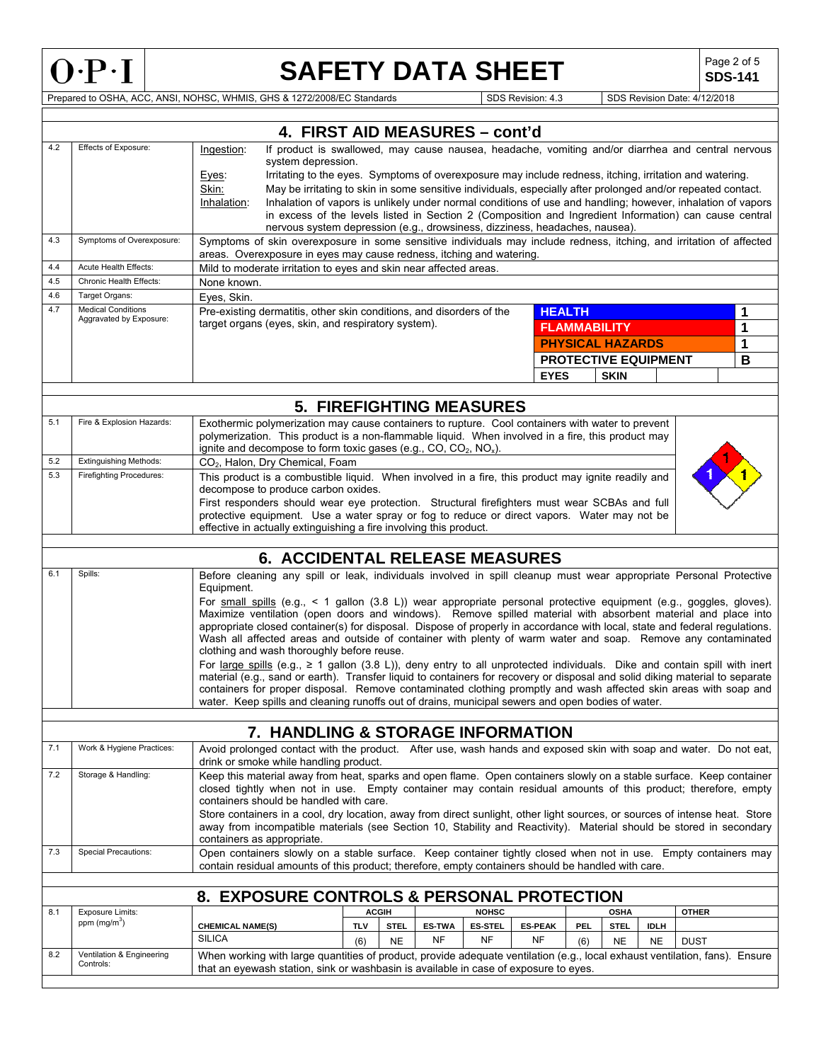

# **SAFETY DATA SHEET**  $\left|\begin{array}{c} \text{Page 2 of 5} \\ \text{SDS-141} \end{array}\right|$

**SDS-141**

Prepared to OSHA, ACC, ANSI, NOHSC, WHMIS, GHS & 1272/2008/EC Standards Superintendent Superintendent Superintendent Superintendent Superintendent Superintendent Superintendent Superintendent Superintendent Superintendent

|     | 4. FIRST AID MEASURES - cont'd                       |                                                                                                                                                                                                                                                                                 |            |              |                            |                             |                      |                         |             |                             |              |   |
|-----|------------------------------------------------------|---------------------------------------------------------------------------------------------------------------------------------------------------------------------------------------------------------------------------------------------------------------------------------|------------|--------------|----------------------------|-----------------------------|----------------------|-------------------------|-------------|-----------------------------|--------------|---|
| 4.2 | Effects of Exposure:                                 | If product is swallowed, may cause nausea, headache, vomiting and/or diarrhea and central nervous<br>Ingestion:<br>system depression.                                                                                                                                           |            |              |                            |                             |                      |                         |             |                             |              |   |
|     |                                                      | Irritating to the eyes. Symptoms of overexposure may include redness, itching, irritation and watering.<br>Eyes:<br>May be irritating to skin in some sensitive individuals, especially after prolonged and/or repeated contact.<br>Skin:                                       |            |              |                            |                             |                      |                         |             |                             |              |   |
|     |                                                      | Inhalation of vapors is unlikely under normal conditions of use and handling; however, inhalation of vapors<br>Inhalation:<br>in excess of the levels listed in Section 2 (Composition and Ingredient Information) can cause central                                            |            |              |                            |                             |                      |                         |             |                             |              |   |
|     |                                                      | nervous system depression (e.g., drowsiness, dizziness, headaches, nausea).                                                                                                                                                                                                     |            |              |                            |                             |                      |                         |             |                             |              |   |
| 4.3 | Symptoms of Overexposure:                            | Symptoms of skin overexposure in some sensitive individuals may include redness, itching, and irritation of affected<br>areas. Overexposure in eyes may cause redness, itching and watering.                                                                                    |            |              |                            |                             |                      |                         |             |                             |              |   |
| 4.4 | Acute Health Effects:                                | Mild to moderate irritation to eyes and skin near affected areas.                                                                                                                                                                                                               |            |              |                            |                             |                      |                         |             |                             |              |   |
| 4.5 | Chronic Health Effects:                              | None known.                                                                                                                                                                                                                                                                     |            |              |                            |                             |                      |                         |             |                             |              |   |
| 4.6 | Target Organs:                                       | Eyes, Skin.                                                                                                                                                                                                                                                                     |            |              |                            |                             |                      |                         |             |                             |              |   |
| 4.7 | <b>Medical Conditions</b><br>Aggravated by Exposure: | Pre-existing dermatitis, other skin conditions, and disorders of the                                                                                                                                                                                                            |            |              |                            |                             | <b>HEALTH</b>        |                         |             |                             |              | 1 |
|     |                                                      | target organs (eyes, skin, and respiratory system).                                                                                                                                                                                                                             |            |              |                            |                             |                      | <b>FLAMMABILITY</b>     |             |                             |              | 1 |
|     |                                                      |                                                                                                                                                                                                                                                                                 |            |              |                            |                             |                      | <b>PHYSICAL HAZARDS</b> |             |                             |              | 1 |
|     |                                                      |                                                                                                                                                                                                                                                                                 |            |              |                            |                             |                      |                         |             | <b>PROTECTIVE EQUIPMENT</b> |              | B |
|     |                                                      |                                                                                                                                                                                                                                                                                 |            |              |                            |                             | <b>EYES</b>          |                         | <b>SKIN</b> |                             |              |   |
|     |                                                      |                                                                                                                                                                                                                                                                                 |            |              |                            |                             |                      |                         |             |                             |              |   |
|     |                                                      | <b>5. FIREFIGHTING MEASURES</b>                                                                                                                                                                                                                                                 |            |              |                            |                             |                      |                         |             |                             |              |   |
| 5.1 | Fire & Explosion Hazards:                            | Exothermic polymerization may cause containers to rupture. Cool containers with water to prevent<br>polymerization. This product is a non-flammable liquid. When involved in a fire, this product may<br>ignite and decompose to form toxic gases (e.g., CO, $CO_2$ , $NO_x$ ). |            |              |                            |                             |                      |                         |             |                             |              |   |
| 5.2 | <b>Extinguishing Methods:</b>                        | CO <sub>2</sub> , Halon, Dry Chemical, Foam                                                                                                                                                                                                                                     |            |              |                            |                             |                      |                         |             |                             |              |   |
| 5.3 | <b>Firefighting Procedures:</b>                      | This product is a combustible liquid. When involved in a fire, this product may ignite readily and                                                                                                                                                                              |            |              |                            |                             |                      |                         |             |                             |              |   |
|     |                                                      | decompose to produce carbon oxides.                                                                                                                                                                                                                                             |            |              |                            |                             |                      |                         |             |                             |              |   |
|     |                                                      | First responders should wear eye protection. Structural firefighters must wear SCBAs and full                                                                                                                                                                                   |            |              |                            |                             |                      |                         |             |                             |              |   |
|     |                                                      | protective equipment. Use a water spray or fog to reduce or direct vapors. Water may not be<br>effective in actually extinguishing a fire involving this product.                                                                                                               |            |              |                            |                             |                      |                         |             |                             |              |   |
|     |                                                      |                                                                                                                                                                                                                                                                                 |            |              |                            |                             |                      |                         |             |                             |              |   |
|     |                                                      | <b>6. ACCIDENTAL RELEASE MEASURES</b>                                                                                                                                                                                                                                           |            |              |                            |                             |                      |                         |             |                             |              |   |
| 6.1 | Spills:                                              | Before cleaning any spill or leak, individuals involved in spill cleanup must wear appropriate Personal Protective<br>Equipment.                                                                                                                                                |            |              |                            |                             |                      |                         |             |                             |              |   |
|     |                                                      | For small spills (e.g., < 1 gallon (3.8 L)) wear appropriate personal protective equipment (e.g., goggles, gloves).<br>Maximize ventilation (open doors and windows). Remove spilled material with absorbent material and place into                                            |            |              |                            |                             |                      |                         |             |                             |              |   |
|     |                                                      | appropriate closed container(s) for disposal. Dispose of properly in accordance with local, state and federal regulations.                                                                                                                                                      |            |              |                            |                             |                      |                         |             |                             |              |   |
|     |                                                      | Wash all affected areas and outside of container with plenty of warm water and soap. Remove any contaminated<br>clothing and wash thoroughly before reuse.                                                                                                                      |            |              |                            |                             |                      |                         |             |                             |              |   |
|     |                                                      | For large spills (e.g., $\geq 1$ gallon (3.8 L)), deny entry to all unprotected individuals. Dike and contain spill with inert                                                                                                                                                  |            |              |                            |                             |                      |                         |             |                             |              |   |
|     |                                                      | material (e.g., sand or earth). Transfer liquid to containers for recovery or disposal and solid diking material to separate                                                                                                                                                    |            |              |                            |                             |                      |                         |             |                             |              |   |
|     |                                                      | containers for proper disposal. Remove contaminated clothing promptly and wash affected skin areas with soap and<br>water. Keep spills and cleaning runoffs out of drains, municipal sewers and open bodies of water.                                                           |            |              |                            |                             |                      |                         |             |                             |              |   |
|     |                                                      |                                                                                                                                                                                                                                                                                 |            |              |                            |                             |                      |                         |             |                             |              |   |
|     |                                                      | 7. HANDLING & STORAGE INFORMATION                                                                                                                                                                                                                                               |            |              |                            |                             |                      |                         |             |                             |              |   |
| 7.1 | Work & Hygiene Practices:                            | Avoid prolonged contact with the product. After use, wash hands and exposed skin with soap and water. Do not eat,<br>drink or smoke while handling product.                                                                                                                     |            |              |                            |                             |                      |                         |             |                             |              |   |
| 7.2 | Storage & Handling:                                  | Keep this material away from heat, sparks and open flame. Open containers slowly on a stable surface. Keep container                                                                                                                                                            |            |              |                            |                             |                      |                         |             |                             |              |   |
|     |                                                      | closed tightly when not in use. Empty container may contain residual amounts of this product; therefore, empty<br>containers should be handled with care.                                                                                                                       |            |              |                            |                             |                      |                         |             |                             |              |   |
|     |                                                      | Store containers in a cool, dry location, away from direct sunlight, other light sources, or sources of intense heat. Store                                                                                                                                                     |            |              |                            |                             |                      |                         |             |                             |              |   |
|     |                                                      | away from incompatible materials (see Section 10, Stability and Reactivity). Material should be stored in secondary<br>containers as appropriate.                                                                                                                               |            |              |                            |                             |                      |                         |             |                             |              |   |
| 7.3 | <b>Special Precautions:</b>                          | Open containers slowly on a stable surface. Keep container tightly closed when not in use. Empty containers may<br>contain residual amounts of this product; therefore, empty containers should be handled with care.                                                           |            |              |                            |                             |                      |                         |             |                             |              |   |
|     |                                                      |                                                                                                                                                                                                                                                                                 |            |              |                            |                             |                      |                         |             |                             |              |   |
|     |                                                      | 8. EXPOSURE CONTROLS & PERSONAL PROTECTION                                                                                                                                                                                                                                      |            |              |                            |                             |                      |                         |             |                             |              |   |
| 8.1 | <b>Exposure Limits:</b><br>ppm $(mg/m3)$             |                                                                                                                                                                                                                                                                                 |            | <b>ACGIH</b> |                            | <b>NOHSC</b>                |                      |                         | <b>OSHA</b> |                             | <b>OTHER</b> |   |
|     |                                                      | <b>CHEMICAL NAME(S)</b><br><b>SILICA</b>                                                                                                                                                                                                                                        | <b>TLV</b> | <b>STEL</b>  | <b>ES-TWA</b><br><b>NF</b> | <b>ES-STEL</b><br><b>NF</b> | <b>ES-PEAK</b><br>NF | PEL                     | <b>STEL</b> | <b>IDLH</b>                 |              |   |
| 8.2 | Ventilation & Engineering                            |                                                                                                                                                                                                                                                                                 | (6)        | <b>NE</b>    |                            |                             |                      | (6)                     | <b>NE</b>   | <b>NE</b>                   | <b>DUST</b>  |   |
|     | Controls:                                            | When working with large quantities of product, provide adequate ventilation (e.g., local exhaust ventilation, fans). Ensure<br>that an eyewash station, sink or washbasin is available in case of exposure to eyes.                                                             |            |              |                            |                             |                      |                         |             |                             |              |   |
|     |                                                      |                                                                                                                                                                                                                                                                                 |            |              |                            |                             |                      |                         |             |                             |              |   |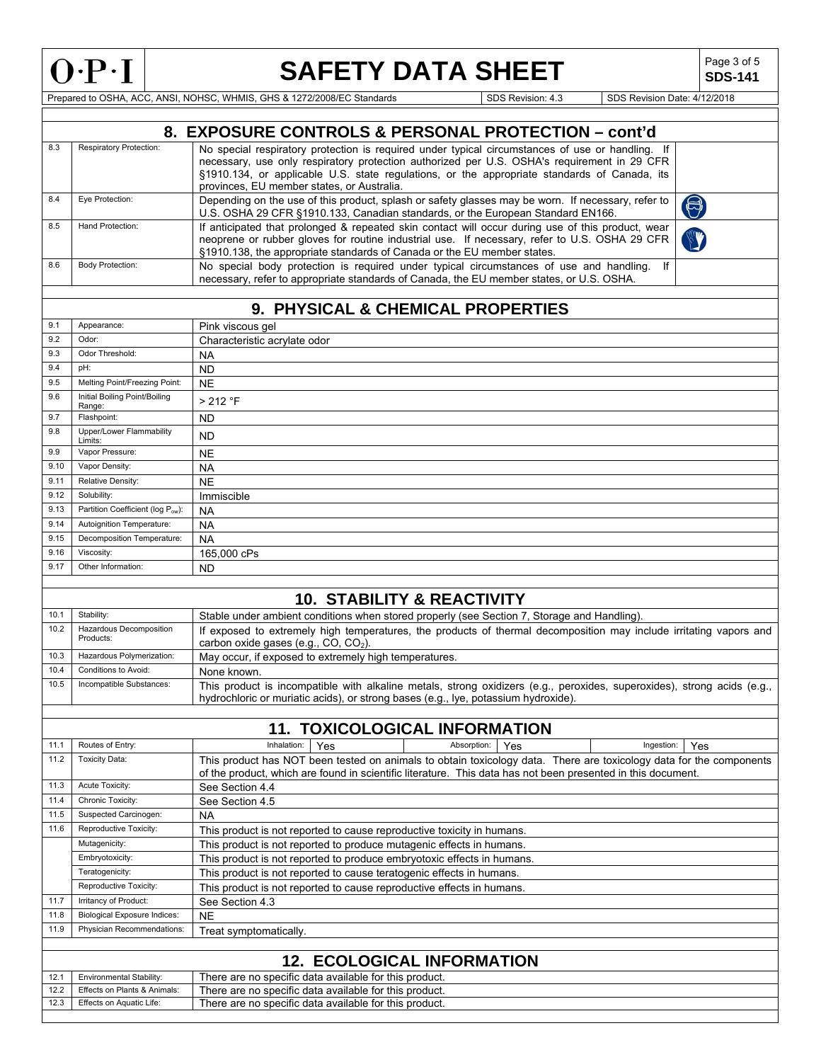

# **SAFETY DATA SHEET**  $\left|\begin{array}{c} \text{Page 3 of 5} \\ \text{SDS-141} \end{array}\right|$

**SDS-141**

Prepared to OSHA, ACC, ANSI, NOHSC, WHMIS, GHS & 1272/2008/EC Standards SUSS Revision: 4.3 SDS Revision Date: 4/12/2018

|              |                                                          | 8. EXPOSURE CONTROLS & PERSONAL PROTECTION - cont'd                                                                                                                                                                                 |
|--------------|----------------------------------------------------------|-------------------------------------------------------------------------------------------------------------------------------------------------------------------------------------------------------------------------------------|
|              |                                                          |                                                                                                                                                                                                                                     |
| 8.3          | Respiratory Protection:                                  | No special respiratory protection is required under typical circumstances of use or handling. If                                                                                                                                    |
|              |                                                          | necessary, use only respiratory protection authorized per U.S. OSHA's requirement in 29 CFR                                                                                                                                         |
|              |                                                          | §1910.134, or applicable U.S. state regulations, or the appropriate standards of Canada, its                                                                                                                                        |
|              | Eye Protection:                                          | provinces, EU member states, or Australia.                                                                                                                                                                                          |
| 8.4          |                                                          | Depending on the use of this product, splash or safety glasses may be worn. If necessary, refer to<br>6<br>U.S. OSHA 29 CFR §1910.133, Canadian standards, or the European Standard EN166.                                          |
| 8.5          | Hand Protection:                                         | If anticipated that prolonged & repeated skin contact will occur during use of this product, wear                                                                                                                                   |
|              |                                                          | neoprene or rubber gloves for routine industrial use. If necessary, refer to U.S. OSHA 29 CFR                                                                                                                                       |
|              |                                                          | §1910.138, the appropriate standards of Canada or the EU member states.                                                                                                                                                             |
| 8.6          | <b>Body Protection:</b>                                  | No special body protection is required under typical circumstances of use and handling. If                                                                                                                                          |
|              |                                                          | necessary, refer to appropriate standards of Canada, the EU member states, or U.S. OSHA.                                                                                                                                            |
|              |                                                          |                                                                                                                                                                                                                                     |
|              |                                                          | 9. PHYSICAL & CHEMICAL PROPERTIES                                                                                                                                                                                                   |
| 9.1          | Appearance:                                              | Pink viscous gel                                                                                                                                                                                                                    |
| 9.2          | Odor:                                                    | Characteristic acrylate odor                                                                                                                                                                                                        |
| 9.3          | Odor Threshold:                                          | <b>NA</b>                                                                                                                                                                                                                           |
| 9.4          | pH:                                                      | <b>ND</b>                                                                                                                                                                                                                           |
| 9.5          | Melting Point/Freezing Point:                            |                                                                                                                                                                                                                                     |
|              |                                                          | <b>NE</b>                                                                                                                                                                                                                           |
| 9.6          | Initial Boiling Point/Boiling<br>Range:                  | > 212 °F                                                                                                                                                                                                                            |
| 9.7          | Flashpoint:                                              | <b>ND</b>                                                                                                                                                                                                                           |
| 9.8          | Upper/Lower Flammability                                 | <b>ND</b>                                                                                                                                                                                                                           |
|              | Limits:                                                  |                                                                                                                                                                                                                                     |
| 9.9          | Vapor Pressure:                                          | <b>NE</b>                                                                                                                                                                                                                           |
| 9.10         | Vapor Density:                                           | <b>NA</b>                                                                                                                                                                                                                           |
| 9.11         | Relative Density:                                        | <b>NE</b>                                                                                                                                                                                                                           |
| 9.12         | Solubility:                                              | Immiscible                                                                                                                                                                                                                          |
| 9.13         | Partition Coefficient (log Pow):                         | <b>NA</b>                                                                                                                                                                                                                           |
| 9.14         | Autoignition Temperature:                                | <b>NA</b>                                                                                                                                                                                                                           |
| 9.15         | Decomposition Temperature:                               | <b>NA</b>                                                                                                                                                                                                                           |
| 9.16         | Viscosity:                                               | 165,000 cPs                                                                                                                                                                                                                         |
| 9.17         | Other Information:                                       | <b>ND</b>                                                                                                                                                                                                                           |
|              |                                                          |                                                                                                                                                                                                                                     |
|              |                                                          | <b>10. STABILITY &amp; REACTIVITY</b>                                                                                                                                                                                               |
| 10.1         | Stability:                                               | Stable under ambient conditions when stored properly (see Section 7, Storage and Handling).                                                                                                                                         |
| 10.2         | Hazardous Decomposition                                  | If exposed to extremely high temperatures, the products of thermal decomposition may include irritating vapors and                                                                                                                  |
|              | Products:                                                | carbon oxide gases (e.g., CO, CO <sub>2</sub> ).                                                                                                                                                                                    |
| 10.3         | Hazardous Polymerization:                                | May occur, if exposed to extremely high temperatures.                                                                                                                                                                               |
| 10.4         | Conditions to Avoid:                                     | None known.                                                                                                                                                                                                                         |
| 10.5         | Incompatible Substances:                                 | This product is incompatible with alkaline metals, strong oxidizers (e.g., peroxides, superoxides), strong acids (e.g.,                                                                                                             |
|              |                                                          | hydrochloric or muriatic acids), or strong bases (e.g., Iye, potassium hydroxide).                                                                                                                                                  |
|              |                                                          |                                                                                                                                                                                                                                     |
|              |                                                          | <b>11. TOXICOLOGICAL INFORMATION</b>                                                                                                                                                                                                |
| 11.1         | Routes of Entry:                                         | Inhalation:<br>Ingestion:<br>Yes<br>Absorption:<br>Yes<br>Yes                                                                                                                                                                       |
| 11.2         | <b>Toxicity Data:</b>                                    |                                                                                                                                                                                                                                     |
|              |                                                          | This product has NOT been tested on animals to obtain toxicology data. There are toxicology data for the components<br>of the product, which are found in scientific literature. This data has not been presented in this document. |
| 11.3         | Acute Toxicity:                                          |                                                                                                                                                                                                                                     |
| 11.4         | Chronic Toxicity:                                        | See Section 4.4                                                                                                                                                                                                                     |
| 11.5         | Suspected Carcinogen:                                    | See Section 4.5                                                                                                                                                                                                                     |
|              |                                                          | <b>NA</b>                                                                                                                                                                                                                           |
| 11.6         | Reproductive Toxicity:                                   | This product is not reported to cause reproductive toxicity in humans.                                                                                                                                                              |
|              | Mutagenicity:                                            | This product is not reported to produce mutagenic effects in humans.                                                                                                                                                                |
|              | Embryotoxicity:                                          | This product is not reported to produce embryotoxic effects in humans.                                                                                                                                                              |
|              | Teratogenicity:                                          | This product is not reported to cause teratogenic effects in humans.                                                                                                                                                                |
|              | Reproductive Toxicity:                                   | This product is not reported to cause reproductive effects in humans.                                                                                                                                                               |
| 11.7         | Irritancy of Product:                                    | See Section 4.3                                                                                                                                                                                                                     |
| 11.8         | <b>Biological Exposure Indices:</b>                      | <b>NE</b>                                                                                                                                                                                                                           |
| 11.9         | Physician Recommendations:                               | Treat symptomatically.                                                                                                                                                                                                              |
|              |                                                          |                                                                                                                                                                                                                                     |
|              |                                                          | <b>12. ECOLOGICAL INFORMATION</b>                                                                                                                                                                                                   |
|              |                                                          |                                                                                                                                                                                                                                     |
| 12.1<br>12.2 | Environmental Stability:<br>Effects on Plants & Animals: | There are no specific data available for this product.                                                                                                                                                                              |
| 12.3         | Effects on Aquatic Life:                                 | There are no specific data available for this product.<br>There are no specific data available for this product.                                                                                                                    |
|              |                                                          |                                                                                                                                                                                                                                     |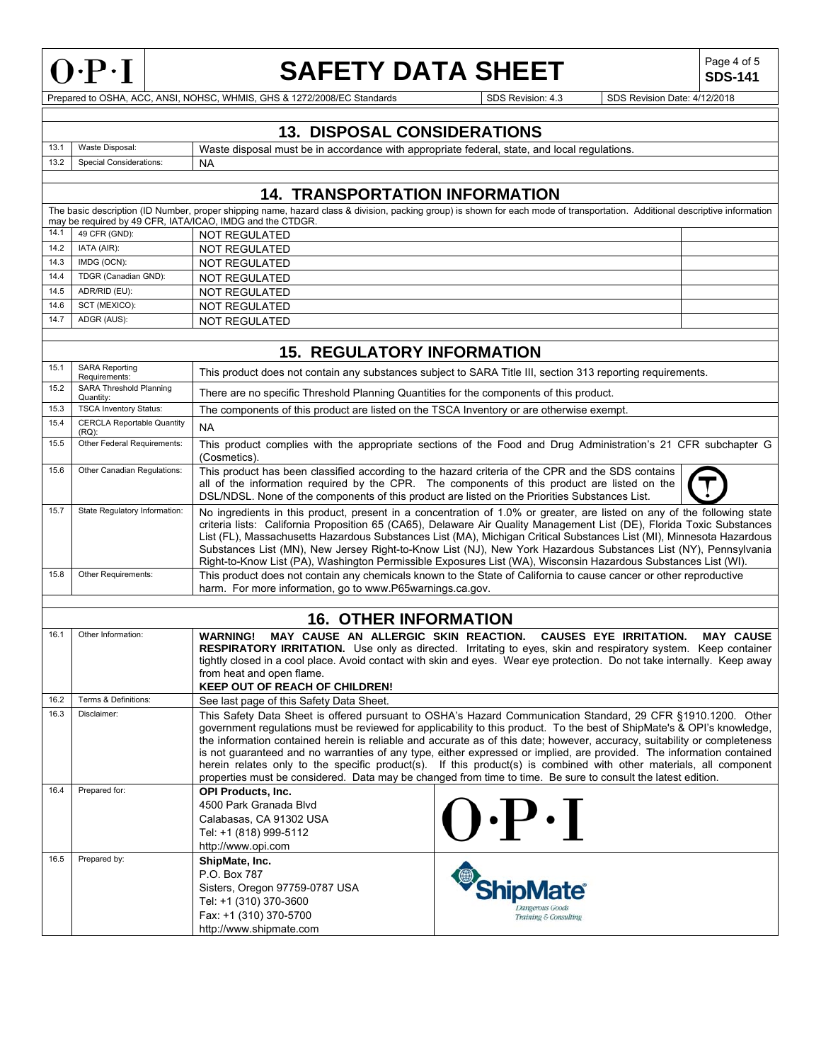

## **SAFETY DATA SHEET** SDS-141

**SDS-141**

Prepared to OSHA, ACC, ANSI, NOHSC, WHMIS, GHS & 1272/2008/EC Standards SDS Revision: 4.3 SDS Revision Date: 4/12/2018

### **13. DISPOSAL CONSIDERATIONS**

13.1 Waste Disposal: Waste disposal must be in accordance with appropriate federal, state, and local regulations.<br>13.2 Special Considerations: NA Special Considerations: NA

## **14. TRANSPORTATION INFORMATION**

|      | The basic description (ID Number, proper shipping name, hazard class & division, packing group) is shown for each mode of transportation. Additional descriptive information |                                                           |  |  |  |  |
|------|------------------------------------------------------------------------------------------------------------------------------------------------------------------------------|-----------------------------------------------------------|--|--|--|--|
|      |                                                                                                                                                                              | may be required by 49 CFR, IATA/ICAO, IMDG and the CTDGR. |  |  |  |  |
|      | 14.1 49 CFR (GND):                                                                                                                                                           | NOT REGULATED                                             |  |  |  |  |
| 14.2 | IATA (AIR):                                                                                                                                                                  | NOT REGULATED                                             |  |  |  |  |
| 14.3 | IMDG (OCN):                                                                                                                                                                  | NOT REGULATED                                             |  |  |  |  |
| 14.4 | TDGR (Canadian GND):                                                                                                                                                         | NOT REGULATED                                             |  |  |  |  |
| 14.5 | ADR/RID (EU):                                                                                                                                                                | NOT REGULATED                                             |  |  |  |  |
| 14.6 | SCT (MEXICO):                                                                                                                                                                | NOT REGULATED                                             |  |  |  |  |
| 14.7 | ADGR (AUS):                                                                                                                                                                  | NOT REGULATED                                             |  |  |  |  |
|      |                                                                                                                                                                              |                                                           |  |  |  |  |

## **15. REGULATORY INFORMATION**

| 15.1 | <b>SARA Reporting</b><br>Requirements:        | This product does not contain any substances subject to SARA Title III, section 313 reporting requirements.                                                                                                                                                                                                                                                                                                                                                                                                                                                                                                                                                                                                                         |  |  |  |  |  |
|------|-----------------------------------------------|-------------------------------------------------------------------------------------------------------------------------------------------------------------------------------------------------------------------------------------------------------------------------------------------------------------------------------------------------------------------------------------------------------------------------------------------------------------------------------------------------------------------------------------------------------------------------------------------------------------------------------------------------------------------------------------------------------------------------------------|--|--|--|--|--|
| 15.2 | <b>SARA Threshold Planning</b><br>Quantity:   | There are no specific Threshold Planning Quantities for the components of this product.                                                                                                                                                                                                                                                                                                                                                                                                                                                                                                                                                                                                                                             |  |  |  |  |  |
| 15.3 | <b>TSCA Inventory Status:</b>                 | The components of this product are listed on the TSCA Inventory or are otherwise exempt.                                                                                                                                                                                                                                                                                                                                                                                                                                                                                                                                                                                                                                            |  |  |  |  |  |
| 15.4 | <b>CERCLA Reportable Quantity</b><br>$(RQ)$ : | <b>NA</b>                                                                                                                                                                                                                                                                                                                                                                                                                                                                                                                                                                                                                                                                                                                           |  |  |  |  |  |
| 15.5 | Other Federal Requirements:                   | This product complies with the appropriate sections of the Food and Drug Administration's 21 CFR subchapter G<br>(Cosmetics).                                                                                                                                                                                                                                                                                                                                                                                                                                                                                                                                                                                                       |  |  |  |  |  |
| 15.6 | Other Canadian Regulations:                   | This product has been classified according to the hazard criteria of the CPR and the SDS contains<br>all of the information required by the CPR. The components of this product are listed on the<br>DSL/NDSL. None of the components of this product are listed on the Priorities Substances List.                                                                                                                                                                                                                                                                                                                                                                                                                                 |  |  |  |  |  |
| 15.7 | State Regulatory Information:                 | No ingredients in this product, present in a concentration of 1.0% or greater, are listed on any of the following state<br>criteria lists: California Proposition 65 (CA65), Delaware Air Quality Management List (DE), Florida Toxic Substances<br>List (FL), Massachusetts Hazardous Substances List (MA), Michigan Critical Substances List (MI), Minnesota Hazardous<br>Substances List (MN), New Jersey Right-to-Know List (NJ), New York Hazardous Substances List (NY), Pennsylvania<br>Right-to-Know List (PA), Washington Permissible Exposures List (WA), Wisconsin Hazardous Substances List (WI).                                                                                                                       |  |  |  |  |  |
| 15.8 | Other Requirements:                           | This product does not contain any chemicals known to the State of California to cause cancer or other reproductive<br>harm. For more information, go to www.P65warnings.ca.gov.                                                                                                                                                                                                                                                                                                                                                                                                                                                                                                                                                     |  |  |  |  |  |
|      |                                               |                                                                                                                                                                                                                                                                                                                                                                                                                                                                                                                                                                                                                                                                                                                                     |  |  |  |  |  |
|      |                                               | <b>16. OTHER INFORMATION</b>                                                                                                                                                                                                                                                                                                                                                                                                                                                                                                                                                                                                                                                                                                        |  |  |  |  |  |
| 16.1 | Other Information:                            | MAY CAUSE AN ALLERGIC SKIN REACTION.<br>CAUSES EYE IRRITATION.<br><b>MAY CAUSE</b><br><b>WARNING!</b><br><b>RESPIRATORY IRRITATION.</b> Use only as directed. Irritating to eyes, skin and respiratory system. Keep container<br>tightly closed in a cool place. Avoid contact with skin and eyes. Wear eye protection. Do not take internally. Keep away<br>from heat and open flame.<br><b>KEEP OUT OF REACH OF CHILDREN!</b>                                                                                                                                                                                                                                                                                                     |  |  |  |  |  |
| 16.2 | Terms & Definitions:                          | See last page of this Safety Data Sheet.                                                                                                                                                                                                                                                                                                                                                                                                                                                                                                                                                                                                                                                                                            |  |  |  |  |  |
| 16.3 | Disclaimer:                                   | This Safety Data Sheet is offered pursuant to OSHA's Hazard Communication Standard, 29 CFR §1910.1200. Other<br>government regulations must be reviewed for applicability to this product. To the best of ShipMate's & OPI's knowledge,<br>the information contained herein is reliable and accurate as of this date; however, accuracy, suitability or completeness<br>is not guaranteed and no warranties of any type, either expressed or implied, are provided. The information contained<br>herein relates only to the specific product(s). If this product(s) is combined with other materials, all component<br>properties must be considered. Data may be changed from time to time. Be sure to consult the latest edition. |  |  |  |  |  |
| 16.4 | Prepared for:                                 | <b>OPI Products, Inc.</b><br>4500 Park Granada Blvd<br>$\left[\right).P\cdot\right]$<br>Calabasas, CA 91302 USA<br>Tel: +1 (818) 999-5112<br>http://www.opi.com                                                                                                                                                                                                                                                                                                                                                                                                                                                                                                                                                                     |  |  |  |  |  |
| 16.5 | Prepared by:                                  | ShipMate, Inc.<br>P.O. Box 787<br>Sisters, Oregon 97759-0787 USA<br>Tel: +1 (310) 370-3600<br>Dangerous Goods<br>Fax: +1 (310) 370-5700<br>Training & Consulting<br>http://www.shipmate.com                                                                                                                                                                                                                                                                                                                                                                                                                                                                                                                                         |  |  |  |  |  |